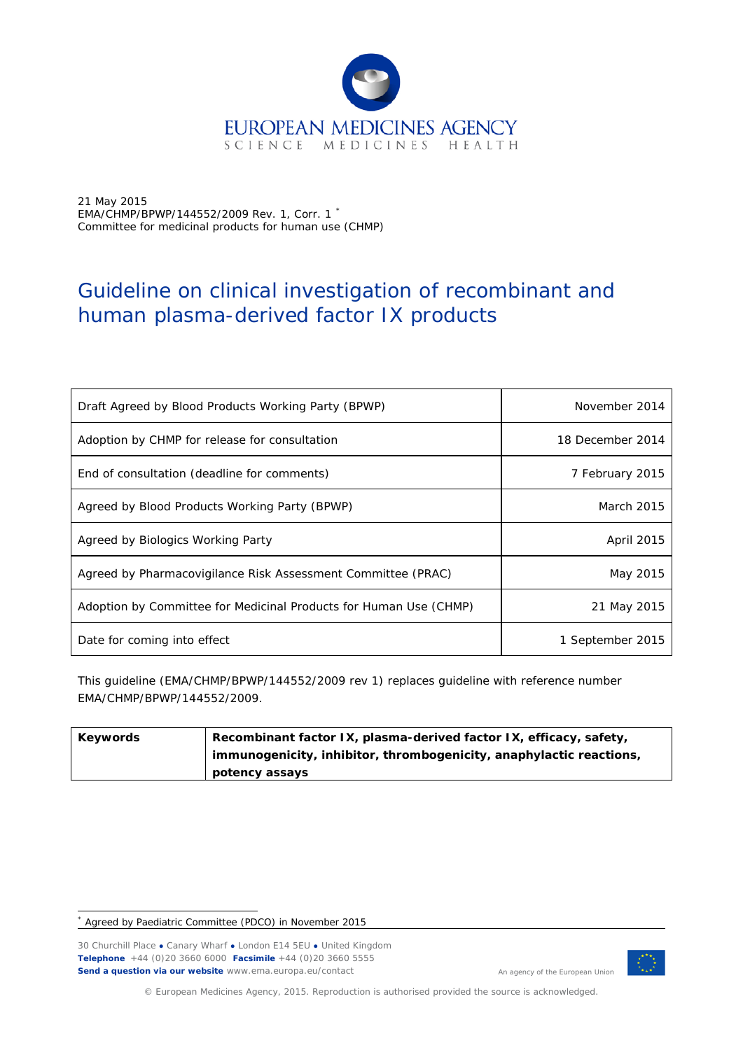

21 May 2015 EMA/CHMP/BPWP/144552/2009 Rev. 1, Corr. 1 [\\*](#page-0-0) Committee for medicinal products for human use (CHMP)

# Guideline on clinical investigation of recombinant and human plasma-derived factor IX products

| Draft Agreed by Blood Products Working Party (BPWP)               | November 2014     |
|-------------------------------------------------------------------|-------------------|
| Adoption by CHMP for release for consultation                     | 18 December 2014  |
| End of consultation (deadline for comments)                       | 7 February 2015   |
| Agreed by Blood Products Working Party (BPWP)                     | <b>March 2015</b> |
| Agreed by Biologics Working Party                                 | April 2015        |
| Agreed by Pharmacovigilance Risk Assessment Committee (PRAC)      | May 2015          |
| Adoption by Committee for Medicinal Products for Human Use (CHMP) | 21 May 2015       |
| Date for coming into effect                                       | 1 September 2015  |

This guideline (EMA/CHMP/BPWP/144552/2009 rev 1) replaces guideline with reference number EMA/CHMP/BPWP/144552/2009.

| <b>Keywords</b> | Recombinant factor IX, plasma-derived factor IX, efficacy, safety,  |
|-----------------|---------------------------------------------------------------------|
|                 | immunogenicity, inhibitor, thrombogenicity, anaphylactic reactions, |
|                 | potency assays                                                      |

30 Churchill Place **●** Canary Wharf **●** London E14 5EU **●** United Kingdom **Telephone** +44 (0)20 3660 6000 **Facsimile** +44 (0)20 3660 5555 **Send a question via our website** www.ema.europa.eu/contact



An agency of the European Union

© European Medicines Agency, 2015. Reproduction is authorised provided the source is acknowledged.

<span id="page-0-0"></span> <sup>\*</sup> Agreed by Paediatric Committee (PDCO) in November 2015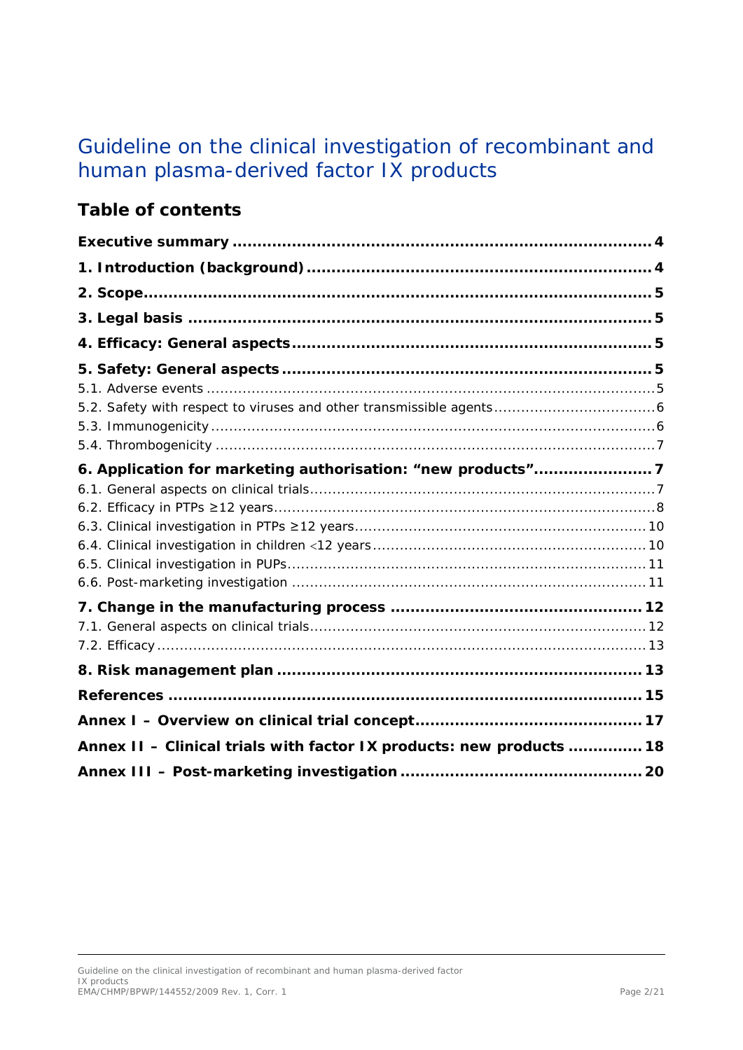# Guideline on the clinical investigation of recombinant and human plasma-derived factor IX products

## **Table of contents**

| 6. Application for marketing authorisation: "new products"7          |  |
|----------------------------------------------------------------------|--|
|                                                                      |  |
|                                                                      |  |
|                                                                      |  |
|                                                                      |  |
|                                                                      |  |
|                                                                      |  |
|                                                                      |  |
|                                                                      |  |
|                                                                      |  |
|                                                                      |  |
|                                                                      |  |
|                                                                      |  |
| Annex II - Clinical trials with factor IX products: new products  18 |  |
|                                                                      |  |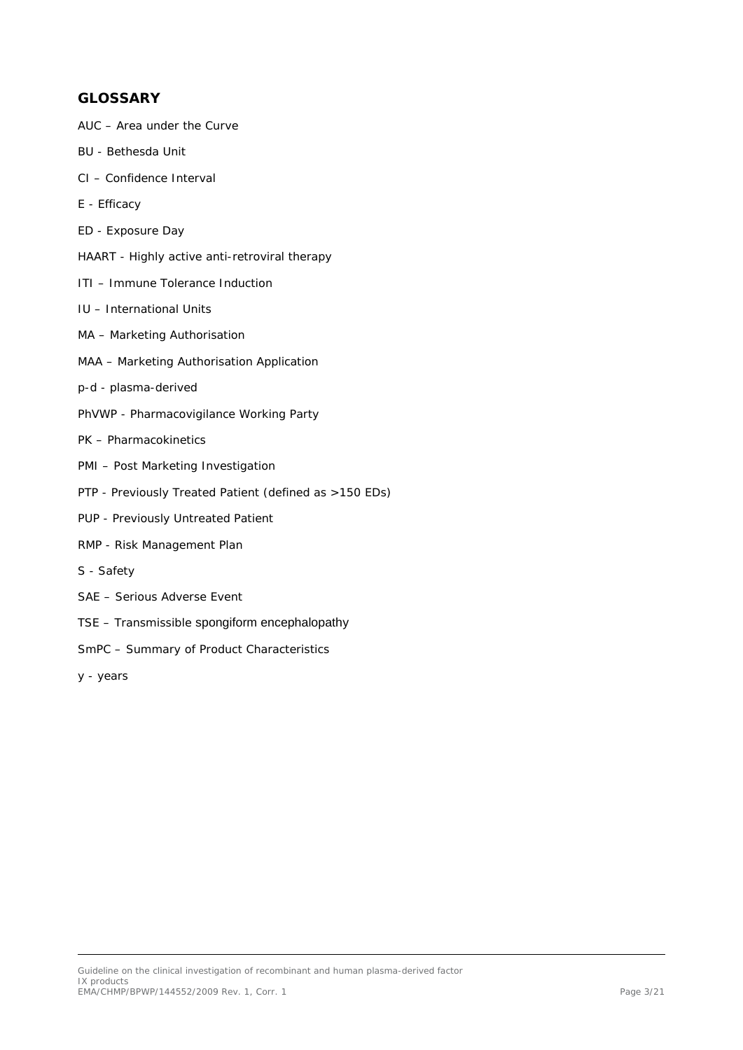#### **GLOSSARY**

- AUC Area under the Curve
- BU Bethesda Unit
- CI Confidence Interval
- E Efficacy
- ED Exposure Day
- HAART Highly active anti-retroviral therapy
- ITI Immune Tolerance Induction
- IU International Units
- MA Marketing Authorisation
- MAA Marketing Authorisation Application
- p-d plasma-derived
- PhVWP Pharmacovigilance Working Party
- PK Pharmacokinetics
- PMI Post Marketing Investigation
- PTP Previously Treated Patient (defined as >150 EDs)
- PUP Previously Untreated Patient
- RMP Risk Management Plan
- S Safety
- SAE Serious Adverse Event
- TSE Transmissible spongiform encephalopathy
- SmPC Summary of Product Characteristics
- y years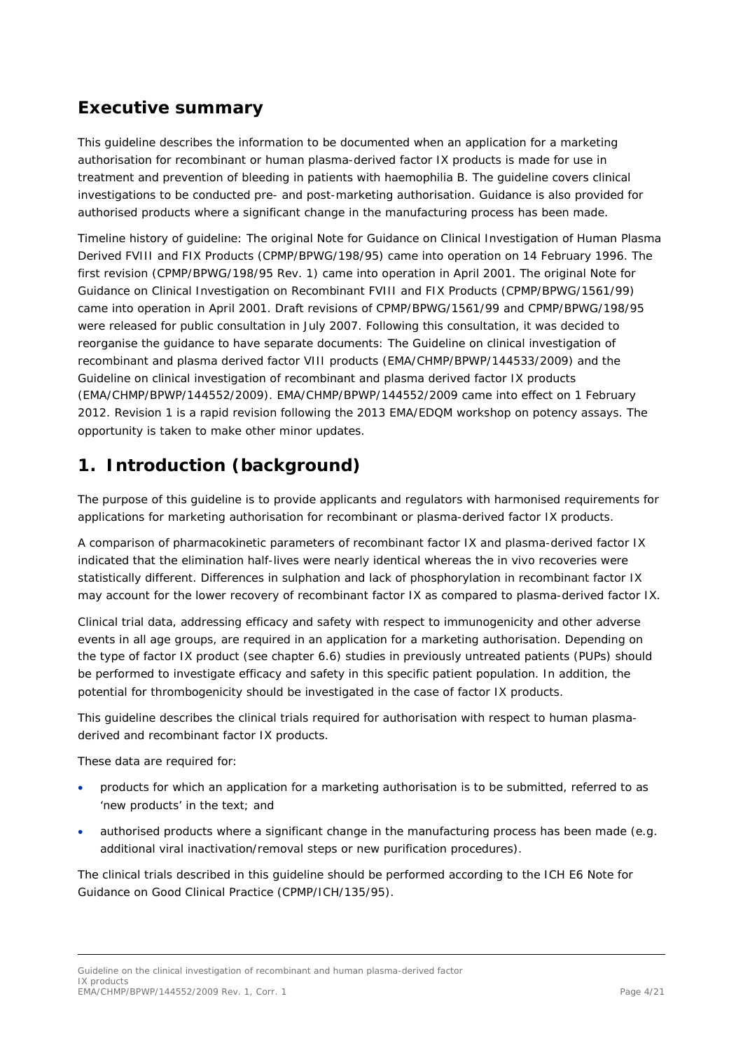## <span id="page-3-0"></span>**Executive summary**

This guideline describes the information to be documented when an application for a marketing authorisation for recombinant or human plasma-derived factor IX products is made for use in treatment and prevention of bleeding in patients with haemophilia B. The guideline covers clinical investigations to be conducted pre- and post-marketing authorisation. Guidance is also provided for authorised products where a significant change in the manufacturing process has been made.

Timeline history of guideline: The original Note for Guidance on Clinical Investigation of Human Plasma Derived FVIII and FIX Products (CPMP/BPWG/198/95) came into operation on 14 February 1996. The first revision (CPMP/BPWG/198/95 Rev. 1) came into operation in April 2001. The original Note for Guidance on Clinical Investigation on Recombinant FVIII and FIX Products (CPMP/BPWG/1561/99) came into operation in April 2001. Draft revisions of CPMP/BPWG/1561/99 and CPMP/BPWG/198/95 were released for public consultation in July 2007. Following this consultation, it was decided to reorganise the guidance to have separate documents: The Guideline on clinical investigation of recombinant and plasma derived factor VIII products (EMA/CHMP/BPWP/144533/2009) and the Guideline on clinical investigation of recombinant and plasma derived factor IX products (EMA/CHMP/BPWP/144552/2009). EMA/CHMP/BPWP/144552/2009 came into effect on 1 February 2012. Revision 1 is a rapid revision following the 2013 EMA/EDQM workshop on potency assays. The opportunity is taken to make other minor updates.

## <span id="page-3-1"></span>**1. Introduction (background)**

The purpose of this guideline is to provide applicants and regulators with harmonised requirements for applications for marketing authorisation for recombinant or plasma-derived factor IX products.

A comparison of pharmacokinetic parameters of recombinant factor IX and plasma-derived factor IX indicated that the elimination half-lives were nearly identical whereas the *in vivo* recoveries were statistically different. Differences in sulphation and lack of phosphorylation in recombinant factor IX may account for the lower recovery of recombinant factor IX as compared to plasma-derived factor IX.

Clinical trial data, addressing efficacy and safety with respect to immunogenicity and other adverse events in all age groups, are required in an application for a marketing authorisation. Depending on the type of factor IX product (see chapter 6.6) studies in previously untreated patients (PUPs) should be performed to investigate efficacy and safety in this specific patient population. In addition, the potential for thrombogenicity should be investigated in the case of factor IX products.

This guideline describes the clinical trials required for authorisation with respect to human plasmaderived and recombinant factor IX products.

These data are required for:

- products for which an application for a marketing authorisation is to be submitted, referred to as 'new products' in the text; and
- authorised products where a significant change in the manufacturing process has been made (e.g. additional viral inactivation/removal steps or new purification procedures).

The clinical trials described in this guideline should be performed according to the ICH E6 Note for Guidance on Good Clinical Practice (CPMP/ICH/135/95).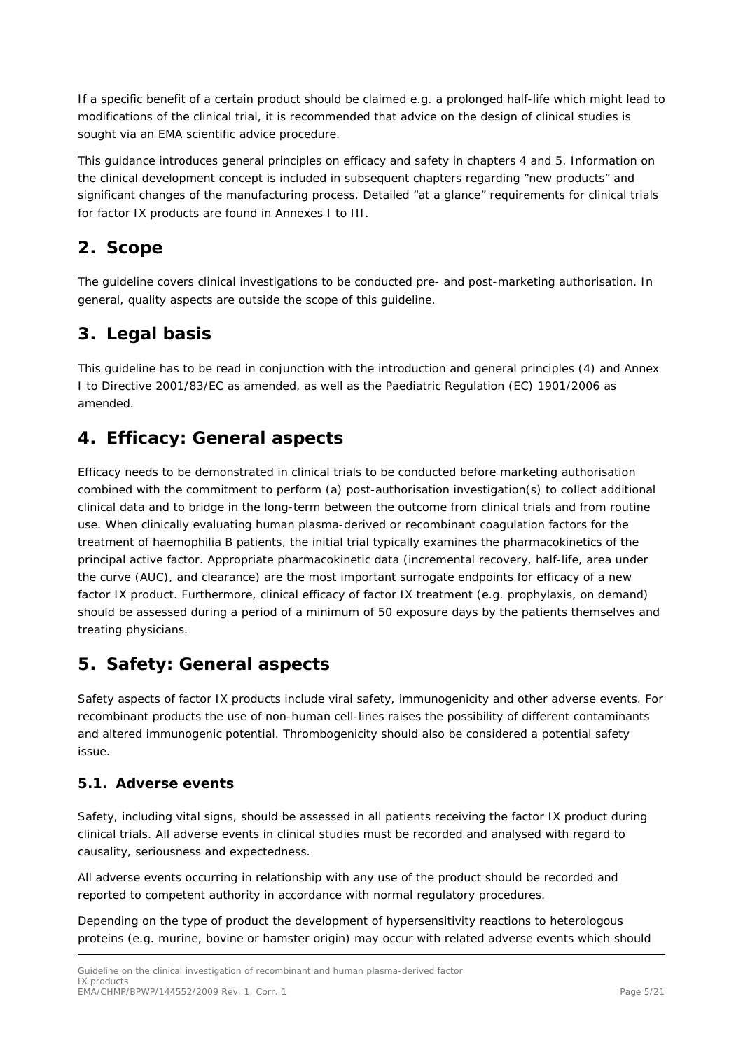If a specific benefit of a certain product should be claimed e.g. a prolonged half-life which might lead to modifications of the clinical trial, it is recommended that advice on the design of clinical studies is sought via an EMA scientific advice procedure.

This guidance introduces general principles on efficacy and safety in chapters 4 and 5. Information on the clinical development concept is included in subsequent chapters regarding "new products" and significant changes of the manufacturing process. Detailed "at a glance" requirements for clinical trials for factor IX products are found in Annexes I to III.

## <span id="page-4-0"></span>**2. Scope**

The guideline covers clinical investigations to be conducted pre- and post-marketing authorisation. In general, quality aspects are outside the scope of this guideline.

## <span id="page-4-1"></span>**3. Legal basis**

This guideline has to be read in conjunction with the introduction and general principles (4) and Annex I to Directive 2001/83/EC as amended, as well as the Paediatric Regulation (EC) 1901/2006 as amended.

## <span id="page-4-2"></span>**4. Efficacy: General aspects**

Efficacy needs to be demonstrated in clinical trials to be conducted before marketing authorisation combined with the commitment to perform (a) post-authorisation investigation(s) to collect additional clinical data and to bridge in the long-term between the outcome from clinical trials and from routine use. When clinically evaluating human plasma-derived or recombinant coagulation factors for the treatment of haemophilia B patients, the initial trial typically examines the pharmacokinetics of the principal active factor. Appropriate pharmacokinetic data (incremental recovery, half-life, area under the curve (AUC), and clearance) are the most important surrogate endpoints for efficacy of a new factor IX product. Furthermore, clinical efficacy of factor IX treatment (e.g. prophylaxis, on demand) should be assessed during a period of a minimum of 50 exposure days by the patients themselves and treating physicians.

## <span id="page-4-3"></span>**5. Safety: General aspects**

Safety aspects of factor IX products include viral safety, immunogenicity and other adverse events. For recombinant products the use of non-human cell-lines raises the possibility of different contaminants and altered immunogenic potential. Thrombogenicity should also be considered a potential safety issue.

### <span id="page-4-4"></span>*5.1. Adverse events*

Safety, including vital signs, should be assessed in all patients receiving the factor IX product during clinical trials. All adverse events in clinical studies must be recorded and analysed with regard to causality, seriousness and expectedness.

All adverse events occurring in relationship with any use of the product should be recorded and reported to competent authority in accordance with normal regulatory procedures.

Depending on the type of product the development of hypersensitivity reactions to heterologous proteins (e.g. murine, bovine or hamster origin) may occur with related adverse events which should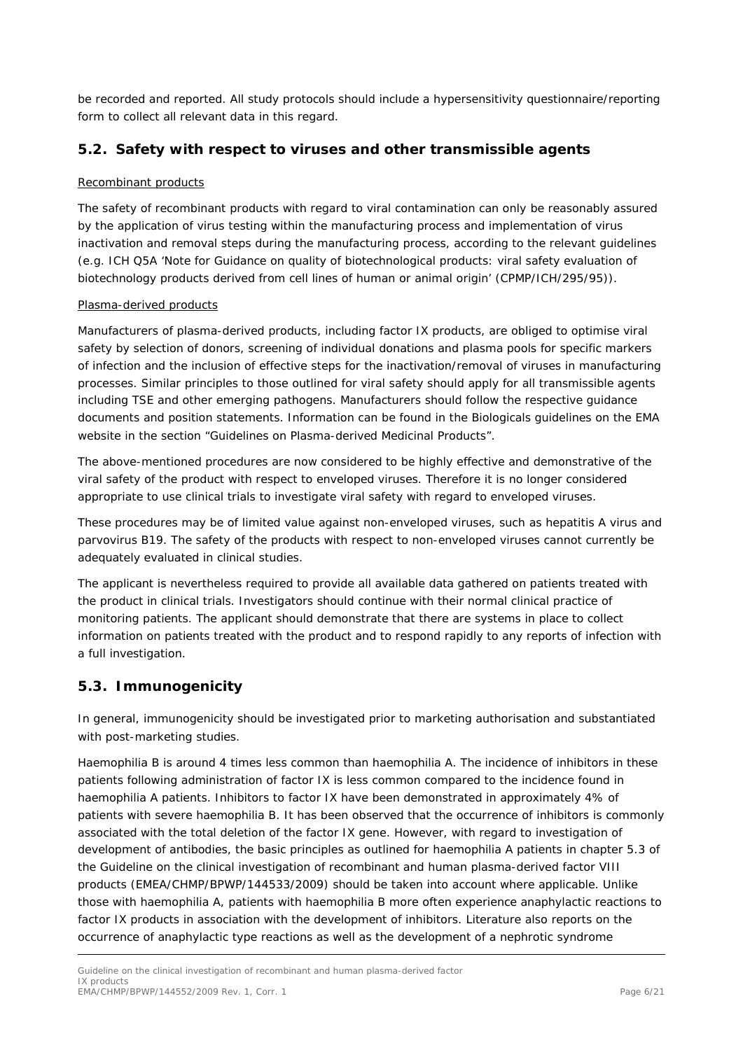be recorded and reported. All study protocols should include a hypersensitivity questionnaire/reporting form to collect all relevant data in this regard.

### <span id="page-5-0"></span>*5.2. Safety with respect to viruses and other transmissible agents*

#### Recombinant products

The safety of recombinant products with regard to viral contamination can only be reasonably assured by the application of virus testing within the manufacturing process and implementation of virus inactivation and removal steps during the manufacturing process, according to the relevant guidelines (e.g. ICH Q5A 'Note for Guidance on quality of biotechnological products: viral safety evaluation of biotechnology products derived from cell lines of human or animal origin' (CPMP/ICH/295/95)).

#### Plasma-derived products

Manufacturers of plasma-derived products, including factor IX products, are obliged to optimise viral safety by selection of donors, screening of individual donations and plasma pools for specific markers of infection and the inclusion of effective steps for the inactivation/removal of viruses in manufacturing processes. Similar principles to those outlined for viral safety should apply for all transmissible agents including TSE and other emerging pathogens. Manufacturers should follow the respective guidance documents and position statements. Information can be found in the Biologicals guidelines on the EMA website in the section "Guidelines on Plasma-derived Medicinal Products".

The above-mentioned procedures are now considered to be highly effective and demonstrative of the viral safety of the product with respect to enveloped viruses. Therefore it is no longer considered appropriate to use clinical trials to investigate viral safety with regard to enveloped viruses.

These procedures may be of limited value against non-enveloped viruses, such as hepatitis A virus and parvovirus B19. The safety of the products with respect to non-enveloped viruses cannot currently be adequately evaluated in clinical studies.

The applicant is nevertheless required to provide all available data gathered on patients treated with the product in clinical trials. Investigators should continue with their normal clinical practice of monitoring patients. The applicant should demonstrate that there are systems in place to collect information on patients treated with the product and to respond rapidly to any reports of infection with a full investigation.

### <span id="page-5-1"></span>*5.3. Immunogenicity*

In general, immunogenicity should be investigated prior to marketing authorisation and substantiated with post-marketing studies.

Haemophilia B is around 4 times less common than haemophilia A. The incidence of inhibitors in these patients following administration of factor IX is less common compared to the incidence found in haemophilia A patients. Inhibitors to factor IX have been demonstrated in approximately 4% of patients with severe haemophilia B. It has been observed that the occurrence of inhibitors is commonly associated with the total deletion of the factor IX gene. However, with regard to investigation of development of antibodies, the basic principles as outlined for haemophilia A patients in chapter 5.3 of the Guideline on the clinical investigation of recombinant and human plasma-derived factor VIII products (EMEA/CHMP/BPWP/144533/2009) should be taken into account where applicable. Unlike those with haemophilia A, patients with haemophilia B more often experience anaphylactic reactions to factor IX products in association with the development of inhibitors. Literature also reports on the occurrence of anaphylactic type reactions as well as the development of a nephrotic syndrome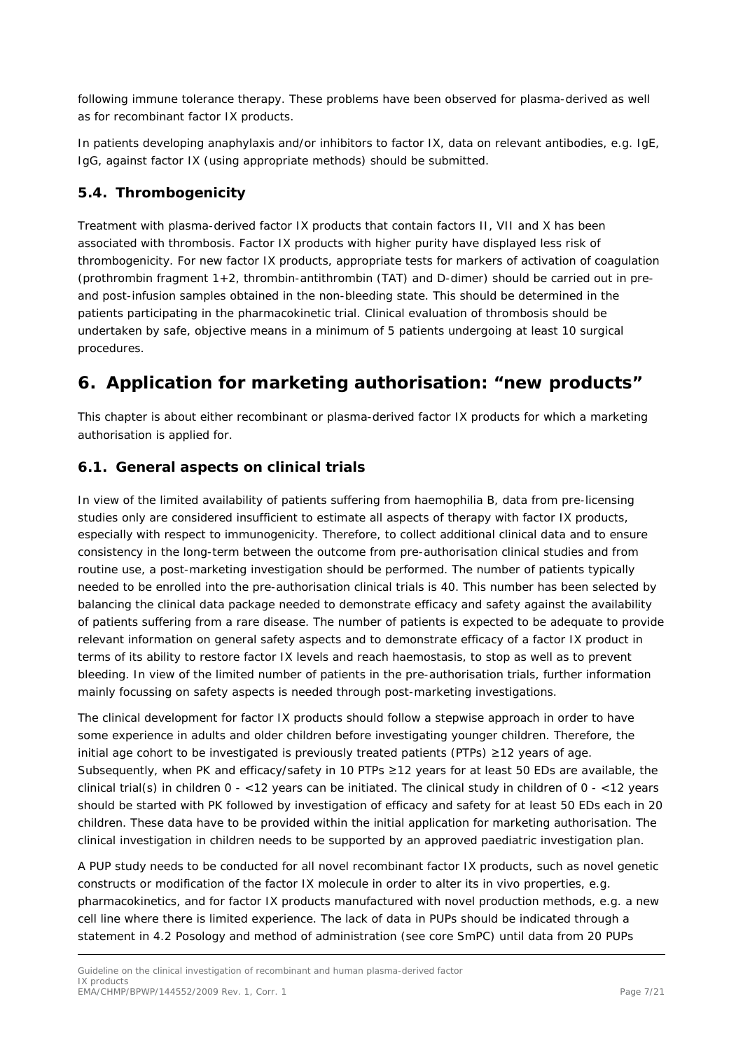following immune tolerance therapy. These problems have been observed for plasma-derived as well as for recombinant factor IX products.

In patients developing anaphylaxis and/or inhibitors to factor IX, data on relevant antibodies, e.g. IgE, IgG, against factor IX (using appropriate methods) should be submitted.

### <span id="page-6-0"></span>*5.4. Thrombogenicity*

Treatment with plasma-derived factor IX products that contain factors II, VII and X has been associated with thrombosis. Factor IX products with higher purity have displayed less risk of thrombogenicity. For new factor IX products, appropriate tests for markers of activation of coagulation (prothrombin fragment 1+2, thrombin-antithrombin (TAT) and D-dimer) should be carried out in preand post-infusion samples obtained in the non-bleeding state. This should be determined in the patients participating in the pharmacokinetic trial. Clinical evaluation of thrombosis should be undertaken by safe, objective means in a minimum of 5 patients undergoing at least 10 surgical procedures.

## <span id="page-6-1"></span>**6. Application for marketing authorisation: "new products"**

This chapter is about either recombinant or plasma-derived factor IX products for which a marketing authorisation is applied for.

### <span id="page-6-2"></span>*6.1. General aspects on clinical trials*

In view of the limited availability of patients suffering from haemophilia B, data from pre-licensing studies only are considered insufficient to estimate all aspects of therapy with factor IX products, especially with respect to immunogenicity. Therefore, to collect additional clinical data and to ensure consistency in the long-term between the outcome from pre-authorisation clinical studies and from routine use, a post-marketing investigation should be performed. The number of patients typically needed to be enrolled into the pre-authorisation clinical trials is 40. This number has been selected by balancing the clinical data package needed to demonstrate efficacy and safety against the availability of patients suffering from a rare disease. The number of patients is expected to be adequate to provide relevant information on general safety aspects and to demonstrate efficacy of a factor IX product in terms of its ability to restore factor IX levels and reach haemostasis, to stop as well as to prevent bleeding. In view of the limited number of patients in the pre-authorisation trials, further information mainly focussing on safety aspects is needed through post-marketing investigations.

The clinical development for factor IX products should follow a stepwise approach in order to have some experience in adults and older children before investigating younger children. Therefore, the initial age cohort to be investigated is previously treated patients (PTPs) ≥12 years of age. Subsequently, when PK and efficacy/safety in 10 PTPs ≥12 years for at least 50 EDs are available, the clinical trial(s) in children 0 - <12 years can be initiated. The clinical study in children of 0 - <12 years should be started with PK followed by investigation of efficacy and safety for at least 50 EDs each in 20 children. These data have to be provided within the initial application for marketing authorisation. The clinical investigation in children needs to be supported by an approved paediatric investigation plan.

A PUP study needs to be conducted for all novel recombinant factor IX products, such as novel genetic constructs or modification of the factor IX molecule in order to alter its *in vivo* properties, e.g. pharmacokinetics, and for factor IX products manufactured with novel production methods, e.g. a new cell line where there is limited experience. The lack of data in PUPs should be indicated through a statement in 4.2 Posology and method of administration (see core SmPC) until data from 20 PUPs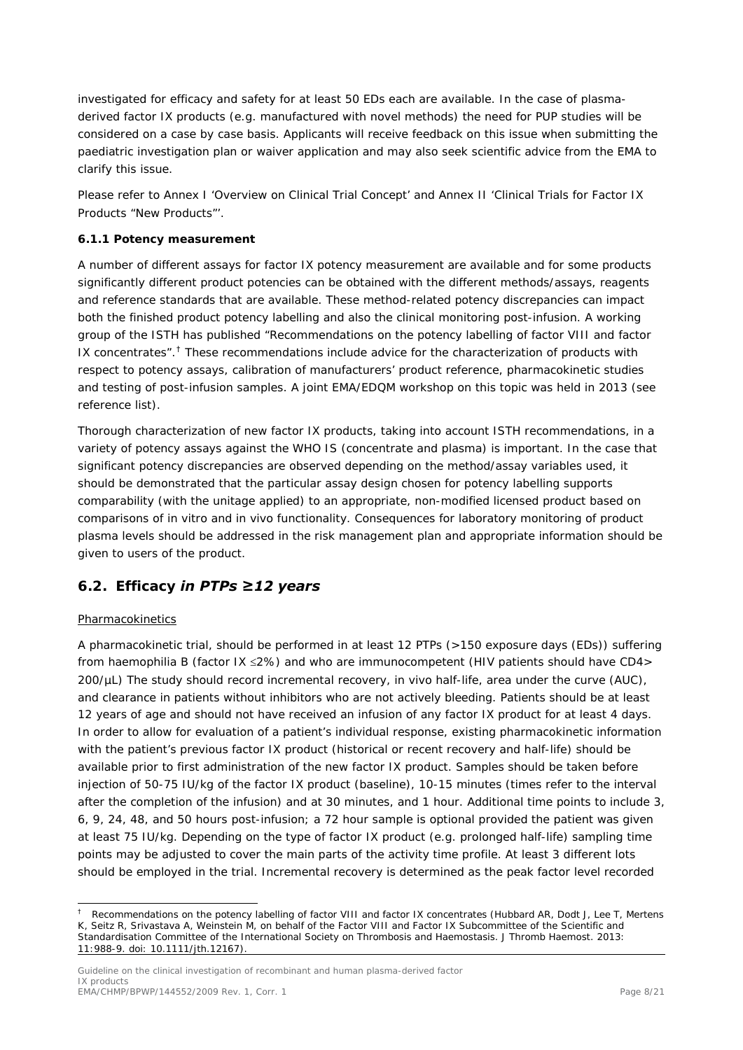investigated for efficacy and safety for at least 50 EDs each are available. In the case of plasmaderived factor IX products (e.g. manufactured with novel methods) the need for PUP studies will be considered on a case by case basis. Applicants will receive feedback on this issue when submitting the paediatric investigation plan or waiver application and may also seek scientific advice from the EMA to clarify this issue.

Please refer to Annex I 'Overview on Clinical Trial Concept' and Annex II 'Clinical Trials for Factor IX Products "New Products"'.

#### *6.1.1 Potency measurement*

A number of different assays for factor IX potency measurement are available and for some products significantly different product potencies can be obtained with the different methods/assays, reagents and reference standards that are available. These method-related potency discrepancies can impact both the finished product potency labelling and also the clinical monitoring post-infusion. A working group of the ISTH has published "Recommendations on the potency labelling of factor VIII and factor IX concentrates".[†](#page-7-1) These recommendations include advice for the characterization of products with respect to potency assays, calibration of manufacturers' product reference, pharmacokinetic studies and testing of post-infusion samples. A joint EMA/EDQM workshop on this topic was held in 2013 (see reference list).

Thorough characterization of new factor IX products, taking into account ISTH recommendations, in a variety of potency assays against the WHO IS (concentrate and plasma) is important. In the case that significant potency discrepancies are observed depending on the method/assay variables used, it should be demonstrated that the particular assay design chosen for potency labelling supports comparability (with the unitage applied) to an appropriate, non-modified licensed product based on comparisons of *in vitro* and *in vivo* functionality. Consequences for laboratory monitoring of product plasma levels should be addressed in the risk management plan and appropriate information should be given to users of the product.

### <span id="page-7-0"></span>*6.2. Efficacy in PTPs ≥12 years*

#### **Pharmacokinetics**

A pharmacokinetic trial, should be performed in at least 12 PTPs (>150 exposure days (EDs)) suffering from haemophilia B (factor IX ≤2%) and who are immunocompetent (HIV patients should have CD4> 200/µL) The study should record incremental recovery, *in vivo* half-life, area under the curve (AUC), and clearance in patients without inhibitors who are not actively bleeding. Patients should be at least 12 years of age and should not have received an infusion of any factor IX product for at least 4 days. In order to allow for evaluation of a patient's individual response, existing pharmacokinetic information with the patient's previous factor IX product (historical or recent recovery and half-life) should be available prior to first administration of the new factor IX product. Samples should be taken before injection of 50-75 IU/kg of the factor IX product (baseline), 10-15 minutes (times refer to the interval after the completion of the infusion) and at 30 minutes, and 1 hour. Additional time points to include 3, 6, 9, 24, 48, and 50 hours post-infusion; a 72 hour sample is optional provided the patient was given at least 75 IU/kg. Depending on the type of factor IX product (e.g. prolonged half-life) sampling time points may be adjusted to cover the main parts of the activity time profile. At least 3 different lots should be employed in the trial. Incremental recovery is determined as the peak factor level recorded

<span id="page-7-1"></span> <sup>†</sup> Recommendations on the potency labelling of factor VIII and factor IX concentrates (Hubbard AR, Dodt J, Lee T, Mertens K, Seitz R, Srivastava A, Weinstein M, on behalf of the Factor VIII and Factor IX Subcommittee of the Scientific and Standardisation Committee of the International Society on Thrombosis and Haemostasis. J Thromb Haemost. 2013: 11:988-9. doi: 10.1111/jth.12167).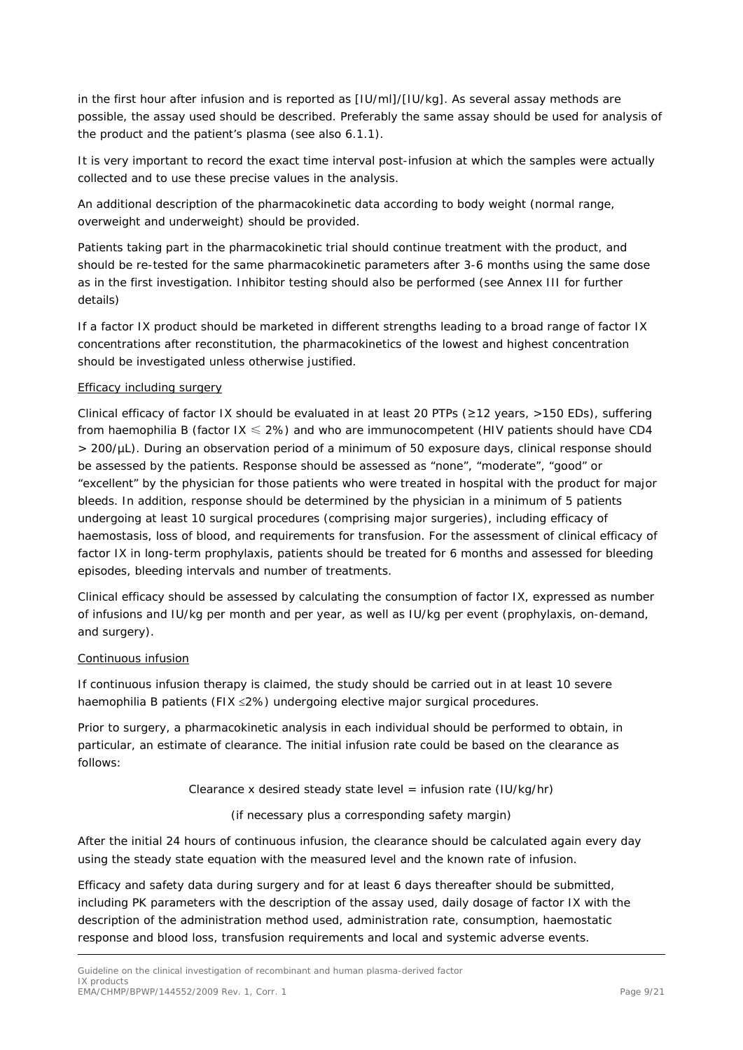in the first hour after infusion and is reported as [IU/ml]/[IU/kg]. As several assay methods are possible, the assay used should be described. Preferably the same assay should be used for analysis of the product and the patient's plasma (see also 6.1.1).

It is very important to record the exact time interval post-infusion at which the samples were actually collected and to use these precise values in the analysis.

An additional description of the pharmacokinetic data according to body weight (normal range, overweight and underweight) should be provided.

Patients taking part in the pharmacokinetic trial should continue treatment with the product, and should be re-tested for the same pharmacokinetic parameters after 3-6 months using the same dose as in the first investigation. Inhibitor testing should also be performed (see Annex III for further details)

If a factor IX product should be marketed in different strengths leading to a broad range of factor IX concentrations after reconstitution, the pharmacokinetics of the lowest and highest concentration should be investigated unless otherwise justified.

#### Efficacy including surgery

Clinical efficacy of factor IX should be evaluated in at least 20 PTPs (≥12 years, >150 EDs), suffering from haemophilia B (factor  $IX \le 2\%)$  and who are immunocompetent (HIV patients should have CD4 > 200/µL). During an observation period of a minimum of 50 exposure days, clinical response should be assessed by the patients. Response should be assessed as "none", "moderate", "good" or "excellent" by the physician for those patients who were treated in hospital with the product for major bleeds. In addition, response should be determined by the physician in a minimum of 5 patients undergoing at least 10 surgical procedures (comprising major surgeries), including efficacy of haemostasis, loss of blood, and requirements for transfusion. For the assessment of clinical efficacy of factor IX in long-term prophylaxis, patients should be treated for 6 months and assessed for bleeding episodes, bleeding intervals and number of treatments.

Clinical efficacy should be assessed by calculating the consumption of factor IX, expressed as number of infusions and IU/kg per month and per year, as well as IU/kg per event (prophylaxis, on-demand, and surgery).

#### Continuous infusion

If continuous infusion therapy is claimed, the study should be carried out in at least 10 severe haemophilia B patients (FIX ≤2%) undergoing elective major surgical procedures.

Prior to surgery, a pharmacokinetic analysis in each individual should be performed to obtain, in particular, an estimate of clearance. The initial infusion rate could be based on the clearance as follows:

Clearance x desired steady state level = infusion rate (IU/kg/hr)

(if necessary plus a corresponding safety margin)

After the initial 24 hours of continuous infusion, the clearance should be calculated again every day using the steady state equation with the measured level and the known rate of infusion.

Efficacy and safety data during surgery and for at least 6 days thereafter should be submitted, including PK parameters with the description of the assay used, daily dosage of factor IX with the description of the administration method used, administration rate, consumption, haemostatic response and blood loss, transfusion requirements and local and systemic adverse events.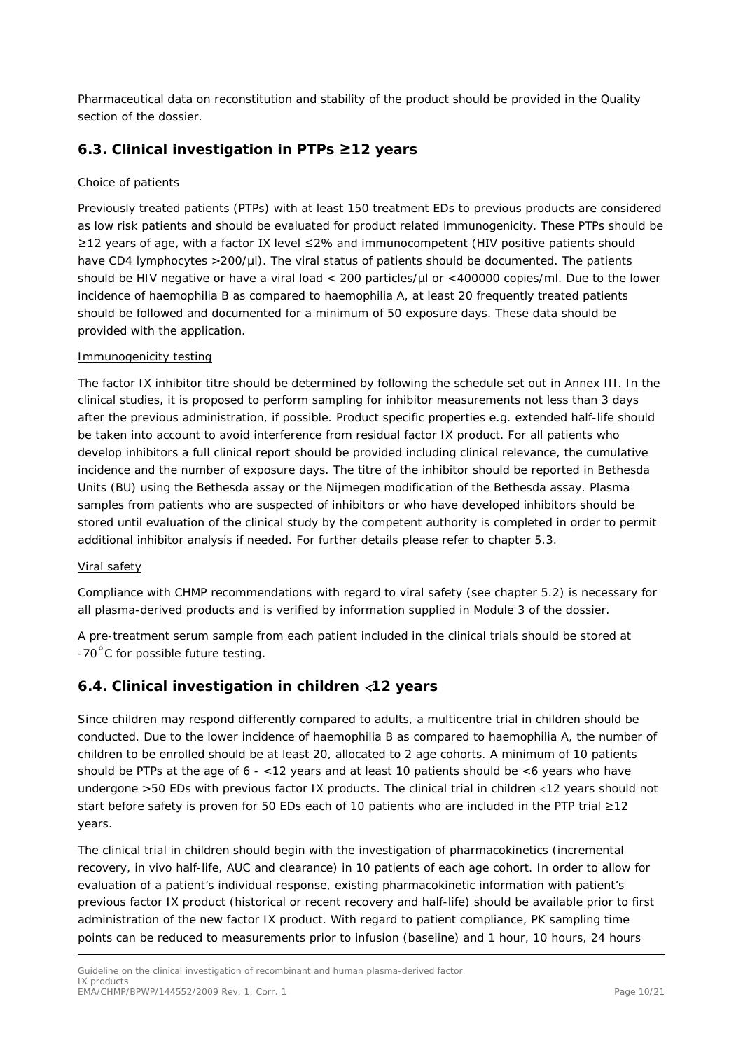Pharmaceutical data on reconstitution and stability of the product should be provided in the Quality section of the dossier.

### <span id="page-9-0"></span>*6.3. Clinical investigation in PTPs ≥12 years*

#### Choice of patients

Previously treated patients (PTPs) with at least 150 treatment EDs to previous products are considered as low risk patients and should be evaluated for product related immunogenicity. These PTPs should be ≥12 years of age, with a factor IX level ≤2% and immunocompetent (HIV positive patients should have CD4 lymphocytes  $>200/\mu$ . The viral status of patients should be documented. The patients should be HIV negative or have a viral load < 200 particles/µl or <400000 copies/ml. Due to the lower incidence of haemophilia B as compared to haemophilia A, at least 20 frequently treated patients should be followed and documented for a minimum of 50 exposure days. These data should be provided with the application.

#### Immunogenicity testing

The factor IX inhibitor titre should be determined by following the schedule set out in Annex III. In the clinical studies, it is proposed to perform sampling for inhibitor measurements not less than 3 days after the previous administration, if possible. Product specific properties e.g. extended half-life should be taken into account to avoid interference from residual factor IX product. For all patients who develop inhibitors a full clinical report should be provided including clinical relevance, the cumulative incidence and the number of exposure days. The titre of the inhibitor should be reported in Bethesda Units (BU) using the Bethesda assay or the Nijmegen modification of the Bethesda assay. Plasma samples from patients who are suspected of inhibitors or who have developed inhibitors should be stored until evaluation of the clinical study by the competent authority is completed in order to permit additional inhibitor analysis if needed. For further details please refer to chapter 5.3.

#### Viral safety

Compliance with CHMP recommendations with regard to viral safety (see chapter 5.2) is necessary for all plasma-derived products and is verified by information supplied in Module 3 of the dossier.

A pre-treatment serum sample from each patient included in the clinical trials should be stored at -70˚C for possible future testing.

### <span id="page-9-1"></span>*6.4. Clinical investigation in children* <sup>&</sup>lt;*12 years*

Since children may respond differently compared to adults, a multicentre trial in children should be conducted. Due to the lower incidence of haemophilia B as compared to haemophilia A, the number of children to be enrolled should be at least 20, allocated to 2 age cohorts. A minimum of 10 patients should be PTPs at the age of  $6 - <12$  years and at least 10 patients should be  $< 6$  years who have undergone >50 EDs with previous factor IX products. The clinical trial in children <12 years should not start before safety is proven for 50 EDs each of 10 patients who are included in the PTP trial ≥12 years.

The clinical trial in children should begin with the investigation of pharmacokinetics (incremental recovery, *in vivo* half-life, AUC and clearance) in 10 patients of each age cohort. In order to allow for evaluation of a patient's individual response, existing pharmacokinetic information with patient's previous factor IX product (historical or recent recovery and half-life) should be available prior to first administration of the new factor IX product. With regard to patient compliance, PK sampling time points can be reduced to measurements prior to infusion (baseline) and 1 hour, 10 hours, 24 hours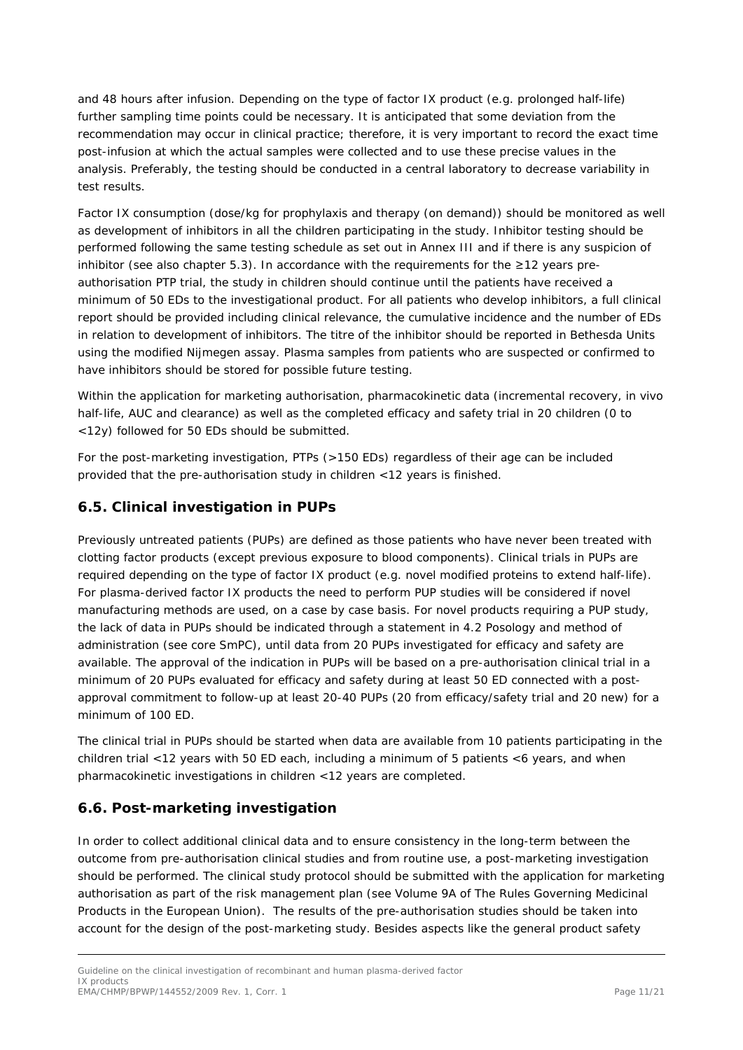and 48 hours after infusion. Depending on the type of factor IX product (e.g. prolonged half-life) further sampling time points could be necessary. It is anticipated that some deviation from the recommendation may occur in clinical practice; therefore, it is very important to record the exact time post-infusion at which the actual samples were collected and to use these precise values in the analysis. Preferably, the testing should be conducted in a central laboratory to decrease variability in test results.

Factor IX consumption (dose/kg for prophylaxis and therapy (on demand)) should be monitored as well as development of inhibitors in all the children participating in the study. Inhibitor testing should be performed following the same testing schedule as set out in Annex III and if there is any suspicion of inhibitor (see also chapter 5.3). In accordance with the requirements for the ≥12 years preauthorisation PTP trial, the study in children should continue until the patients have received a minimum of 50 EDs to the investigational product. For all patients who develop inhibitors, a full clinical report should be provided including clinical relevance, the cumulative incidence and the number of EDs in relation to development of inhibitors. The titre of the inhibitor should be reported in Bethesda Units using the modified Nijmegen assay. Plasma samples from patients who are suspected or confirmed to have inhibitors should be stored for possible future testing.

Within the application for marketing authorisation, pharmacokinetic data (incremental recovery, *in vivo* half-life, AUC and clearance) as well as the completed efficacy and safety trial in 20 children (0 to <12y) followed for 50 EDs should be submitted.

For the post-marketing investigation, PTPs (>150 EDs) regardless of their age can be included provided that the pre-authorisation study in children <12 years is finished.

### <span id="page-10-0"></span>*6.5. Clinical investigation in PUPs*

Previously untreated patients (PUPs) are defined as those patients who have never been treated with clotting factor products (except previous exposure to blood components). Clinical trials in PUPs are required depending on the type of factor IX product (e.g. novel modified proteins to extend half-life). For plasma-derived factor IX products the need to perform PUP studies will be considered if novel manufacturing methods are used, on a case by case basis. For novel products requiring a PUP study, the lack of data in PUPs should be indicated through a statement in 4.2 Posology and method of administration (see core SmPC), until data from 20 PUPs investigated for efficacy and safety are available. The approval of the indication in PUPs will be based on a pre-authorisation clinical trial in a minimum of 20 PUPs evaluated for efficacy and safety during at least 50 ED connected with a postapproval commitment to follow-up at least 20-40 PUPs (20 from efficacy/safety trial and 20 new) for a minimum of 100 ED.

The clinical trial in PUPs should be started when data are available from 10 patients participating in the children trial <12 years with 50 ED each, including a minimum of 5 patients <6 years, and when pharmacokinetic investigations in children <12 years are completed.

### <span id="page-10-1"></span>*6.6. Post-marketing investigation*

In order to collect additional clinical data and to ensure consistency in the long-term between the outcome from pre-authorisation clinical studies and from routine use, a post-marketing investigation should be performed. The clinical study protocol should be submitted with the application for marketing authorisation as part of the risk management plan (see Volume 9A of The Rules Governing Medicinal Products in the European Union). The results of the pre-authorisation studies should be taken into account for the design of the post-marketing study. Besides aspects like the general product safety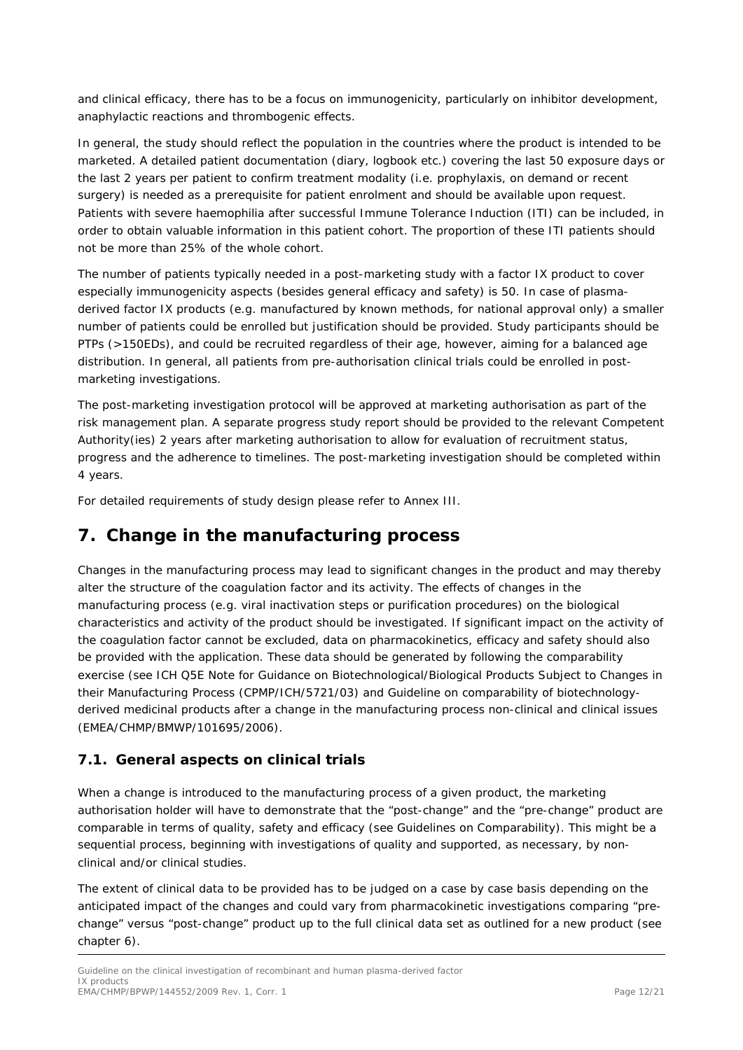and clinical efficacy, there has to be a focus on immunogenicity, particularly on inhibitor development, anaphylactic reactions and thrombogenic effects.

In general, the study should reflect the population in the countries where the product is intended to be marketed. A detailed patient documentation (diary, logbook etc.) covering the last 50 exposure days or the last 2 years per patient to confirm treatment modality (i.e. prophylaxis, on demand or recent surgery) is needed as a prerequisite for patient enrolment and should be available upon request. Patients with severe haemophilia after successful Immune Tolerance Induction (ITI) can be included, in order to obtain valuable information in this patient cohort. The proportion of these ITI patients should not be more than 25% of the whole cohort.

The number of patients typically needed in a post-marketing study with a factor IX product to cover especially immunogenicity aspects (besides general efficacy and safety) is 50. In case of plasmaderived factor IX products (e.g. manufactured by known methods, for national approval only) a smaller number of patients could be enrolled but justification should be provided. Study participants should be PTPs (>150EDs), and could be recruited regardless of their age, however, aiming for a balanced age distribution. In general, all patients from pre-authorisation clinical trials could be enrolled in postmarketing investigations.

The post-marketing investigation protocol will be approved at marketing authorisation as part of the risk management plan. A separate progress study report should be provided to the relevant Competent Authority(ies) 2 years after marketing authorisation to allow for evaluation of recruitment status, progress and the adherence to timelines. The post-marketing investigation should be completed within 4 years.

For detailed requirements of study design please refer to Annex III.

## <span id="page-11-0"></span>**7. Change in the manufacturing process**

Changes in the manufacturing process may lead to significant changes in the product and may thereby alter the structure of the coagulation factor and its activity. The effects of changes in the manufacturing process (e.g. viral inactivation steps or purification procedures) on the biological characteristics and activity of the product should be investigated. If significant impact on the activity of the coagulation factor cannot be excluded, data on pharmacokinetics, efficacy and safety should also be provided with the application. These data should be generated by following the comparability exercise (see ICH Q5E Note for Guidance on Biotechnological/Biological Products Subject to Changes in their Manufacturing Process (CPMP/ICH/5721/03) and Guideline on comparability of biotechnologyderived medicinal products after a change in the manufacturing process non-clinical and clinical issues (EMEA/CHMP/BMWP/101695/2006).

### <span id="page-11-1"></span>*7.1. General aspects on clinical trials*

When a change is introduced to the manufacturing process of a given product, the marketing authorisation holder will have to demonstrate that the "post-change" and the "pre-change" product are comparable in terms of quality, safety and efficacy (see Guidelines on Comparability). This might be a sequential process, beginning with investigations of quality and supported, as necessary, by nonclinical and/or clinical studies.

The extent of clinical data to be provided has to be judged on a case by case basis depending on the anticipated impact of the changes and could vary from pharmacokinetic investigations comparing "prechange" versus "post-change" product up to the full clinical data set as outlined for a new product (see chapter 6).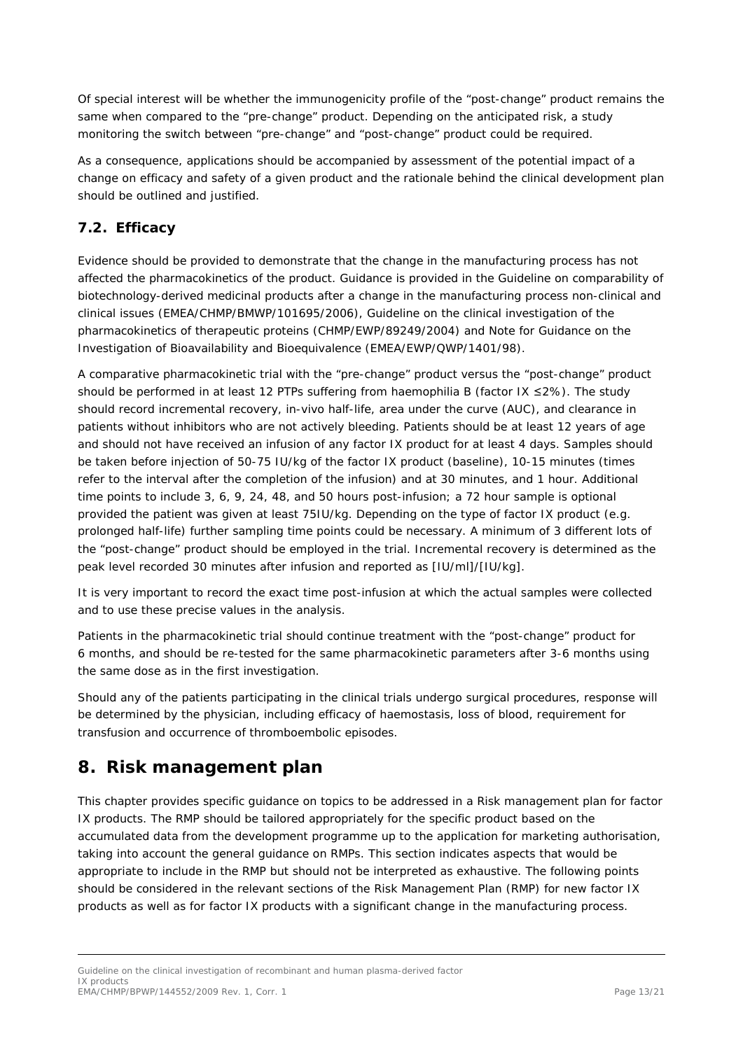Of special interest will be whether the immunogenicity profile of the "post-change" product remains the same when compared to the "pre-change" product. Depending on the anticipated risk, a study monitoring the switch between "pre-change" and "post-change" product could be required.

As a consequence, applications should be accompanied by assessment of the potential impact of a change on efficacy and safety of a given product and the rationale behind the clinical development plan should be outlined and justified.

### <span id="page-12-0"></span>*7.2. Efficacy*

Evidence should be provided to demonstrate that the change in the manufacturing process has not affected the pharmacokinetics of the product. Guidance is provided in the Guideline on comparability of biotechnology-derived medicinal products after a change in the manufacturing process non-clinical and clinical issues (EMEA/CHMP/BMWP/101695/2006), Guideline on the clinical investigation of the pharmacokinetics of therapeutic proteins (CHMP/EWP/89249/2004) and Note for Guidance on the Investigation of Bioavailability and Bioequivalence (EMEA/EWP/QWP/1401/98).

A comparative pharmacokinetic trial with the "pre-change" product versus the "post-change" product should be performed in at least 12 PTPs suffering from haemophilia B (factor IX ≤2%). The study should record incremental recovery, *in-vivo* half-life, area under the curve (AUC), and clearance in patients without inhibitors who are not actively bleeding. Patients should be at least 12 years of age and should not have received an infusion of any factor IX product for at least 4 days. Samples should be taken before injection of 50-75 IU/kg of the factor IX product (baseline), 10-15 minutes (times refer to the interval after the completion of the infusion) and at 30 minutes, and 1 hour. Additional time points to include 3, 6, 9, 24, 48, and 50 hours post-infusion; a 72 hour sample is optional provided the patient was given at least 75IU/kg. Depending on the type of factor IX product (e.g. prolonged half-life) further sampling time points could be necessary. A minimum of 3 different lots of the "post-change" product should be employed in the trial. Incremental recovery is determined as the peak level recorded 30 minutes after infusion and reported as [IU/ml]/[IU/kg].

It is very important to record the exact time post-infusion at which the actual samples were collected and to use these precise values in the analysis.

Patients in the pharmacokinetic trial should continue treatment with the "post-change" product for 6 months, and should be re-tested for the same pharmacokinetic parameters after 3-6 months using the same dose as in the first investigation.

Should any of the patients participating in the clinical trials undergo surgical procedures, response will be determined by the physician, including efficacy of haemostasis, loss of blood, requirement for transfusion and occurrence of thromboembolic episodes.

## <span id="page-12-1"></span>**8. Risk management plan**

This chapter provides specific guidance on topics to be addressed in a Risk management plan for factor IX products. The RMP should be tailored appropriately for the specific product based on the accumulated data from the development programme up to the application for marketing authorisation, taking into account the general guidance on RMPs. This section indicates aspects that would be appropriate to include in the RMP but should not be interpreted as exhaustive. The following points should be considered in the relevant sections of the Risk Management Plan (RMP) for new factor IX products as well as for factor IX products with a significant change in the manufacturing process.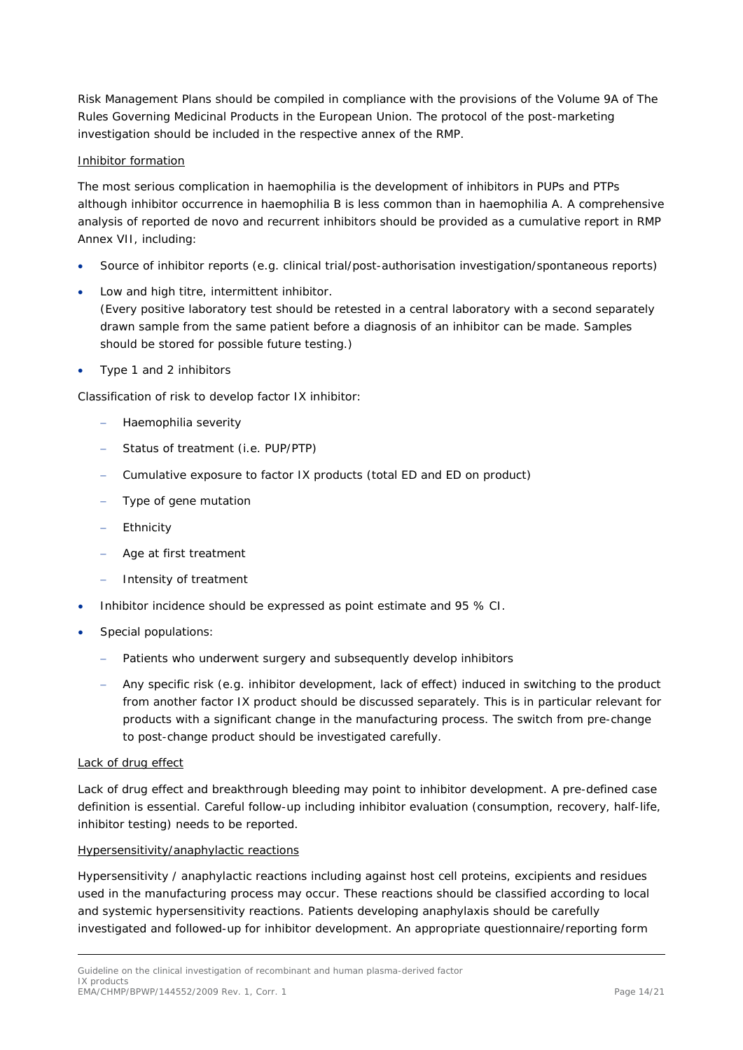Risk Management Plans should be compiled in compliance with the provisions of the Volume 9A of The Rules Governing Medicinal Products in the European Union. The protocol of the post-marketing investigation should be included in the respective annex of the RMP.

#### Inhibitor formation

The most serious complication in haemophilia is the development of inhibitors in PUPs and PTPs although inhibitor occurrence in haemophilia B is less common than in haemophilia A. A comprehensive analysis of reported *de novo* and recurrent inhibitors should be provided as a cumulative report in RMP Annex VII, including:

- Source of inhibitor reports (e.g. clinical trial/post-authorisation investigation/spontaneous reports)
- Low and high titre, intermittent inhibitor.
- (Every positive laboratory test should be retested in a central laboratory with a second separately drawn sample from the same patient before a diagnosis of an inhibitor can be made. Samples should be stored for possible future testing.)
- Type 1 and 2 inhibitors

Classification of risk to develop factor IX inhibitor:

- − Haemophilia severity
- − Status of treatment (i.e. PUP/PTP)
- − Cumulative exposure to factor IX products (total ED and ED on product)
- − Type of gene mutation
- − Ethnicity
- − Age at first treatment
- Intensity of treatment
- Inhibitor incidence should be expressed as point estimate and 95 % CI.
- Special populations:
	- Patients who underwent surgery and subsequently develop inhibitors
	- − Any specific risk (e.g. inhibitor development, lack of effect) induced in switching to the product from another factor IX product should be discussed separately. This is in particular relevant for products with a significant change in the manufacturing process. The switch from pre-change to post-change product should be investigated carefully.

#### Lack of drug effect

Lack of drug effect and breakthrough bleeding may point to inhibitor development. A pre-defined case definition is essential. Careful follow-up including inhibitor evaluation (consumption, recovery, half-life, inhibitor testing) needs to be reported.

#### Hypersensitivity/anaphylactic reactions

Hypersensitivity / anaphylactic reactions including against host cell proteins, excipients and residues used in the manufacturing process may occur. These reactions should be classified according to local and systemic hypersensitivity reactions. Patients developing anaphylaxis should be carefully investigated and followed-up for inhibitor development. An appropriate questionnaire/reporting form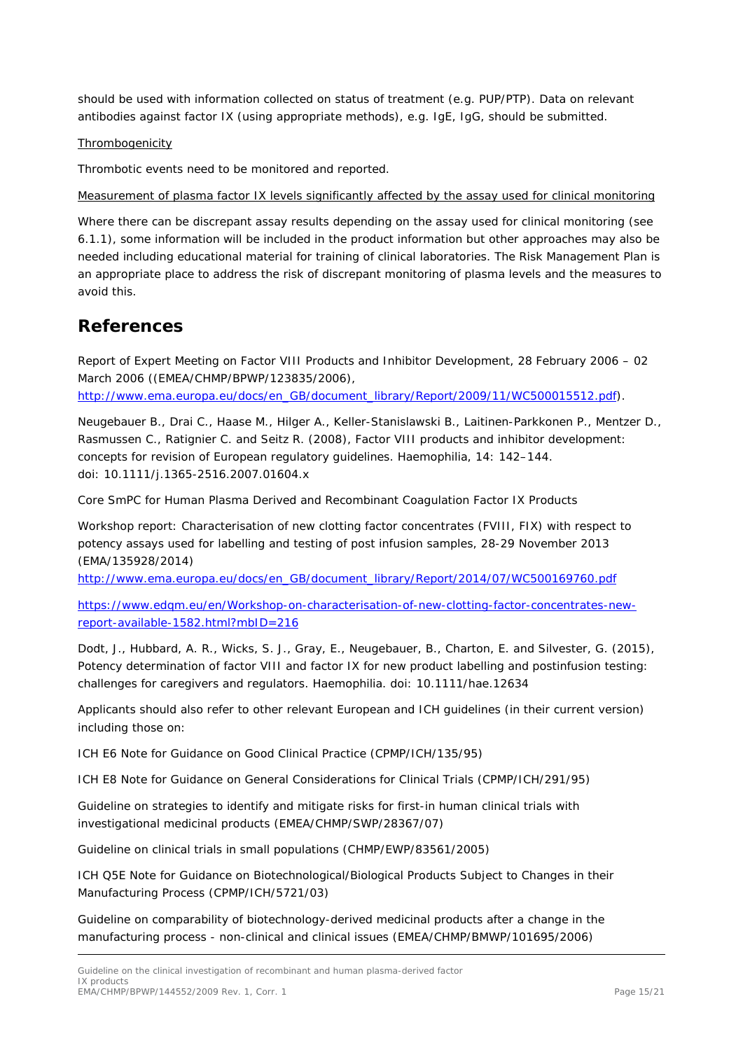should be used with information collected on status of treatment (e.g. PUP/PTP). Data on relevant antibodies against factor IX (using appropriate methods), e.g. IgE, IgG, should be submitted.

#### **Thrombogenicity**

Thrombotic events need to be monitored and reported.

Measurement of plasma factor IX levels significantly affected by the assay used for clinical monitoring

Where there can be discrepant assay results depending on the assay used for clinical monitoring (see 6.1.1), some information will be included in the product information but other approaches may also be needed including educational material for training of clinical laboratories. The Risk Management Plan is an appropriate place to address the risk of discrepant monitoring of plasma levels and the measures to avoid this.

## <span id="page-14-0"></span>**References**

Report of Expert Meeting on Factor VIII Products and Inhibitor Development, 28 February 2006 – 02 March 2006 ((EMEA/CHMP/BPWP/123835/2006),

[http://www.ema.europa.eu/docs/en\\_GB/document\\_library/Report/2009/11/WC500015512.pdf\)](http://www.ema.europa.eu/docs/en_GB/document_library/Report/2009/11/WC500015512.pdf).

Neugebauer B., Drai C., Haase M., Hilger A., Keller-Stanislawski B., Laitinen-Parkkonen P., Mentzer D., Rasmussen C., Ratignier C. and Seitz R. (2008), Factor VIII products and inhibitor development: concepts for revision of European regulatory guidelines. Haemophilia, 14: 142–144. doi: 10.1111/j.1365-2516.2007.01604.x

Core SmPC for Human Plasma Derived and Recombinant Coagulation Factor IX Products

Workshop report: Characterisation of new clotting factor concentrates (FVIII, FIX) with respect to potency assays used for labelling and testing of post infusion samples, 28-29 November 2013 (EMA/135928/2014)

[http://www.ema.europa.eu/docs/en\\_GB/document\\_library/Report/2014/07/WC500169760.pdf](http://www.ema.europa.eu/docs/en_GB/document_library/Report/2014/07/WC500169760.pdf)

[https://www.edqm.eu/en/Workshop-on-characterisation-of-new-clotting-factor-concentrates-new](https://www.edqm.eu/en/Workshop-on-characterisation-of-new-clotting-factor-concentrates-new-report-available-1582.html?mbID=216)[report-available-1582.html?mbID=216](https://www.edqm.eu/en/Workshop-on-characterisation-of-new-clotting-factor-concentrates-new-report-available-1582.html?mbID=216)

Dodt, J., Hubbard, A. R., Wicks, S. J., Gray, E., Neugebauer, B., Charton, E. and Silvester, G. (2015), Potency determination of factor VIII and factor IX for new product labelling and postinfusion testing: challenges for caregivers and regulators. Haemophilia. doi: 10.1111/hae.12634

Applicants should also refer to other relevant European and ICH guidelines (in their current version) including those on:

ICH E6 Note for Guidance on Good Clinical Practice (CPMP/ICH/135/95)

ICH E8 Note for Guidance on General Considerations for Clinical Trials (CPMP/ICH/291/95)

Guideline on strategies to identify and mitigate risks for first-in human clinical trials with investigational medicinal products (EMEA/CHMP/SWP/28367/07)

Guideline on clinical trials in small populations (CHMP/EWP/83561/2005)

ICH Q5E Note for Guidance on Biotechnological/Biological Products Subject to Changes in their Manufacturing Process (CPMP/ICH/5721/03)

Guideline on comparability of biotechnology-derived medicinal products after a change in the manufacturing process - non-clinical and clinical issues (EMEA/CHMP/BMWP/101695/2006)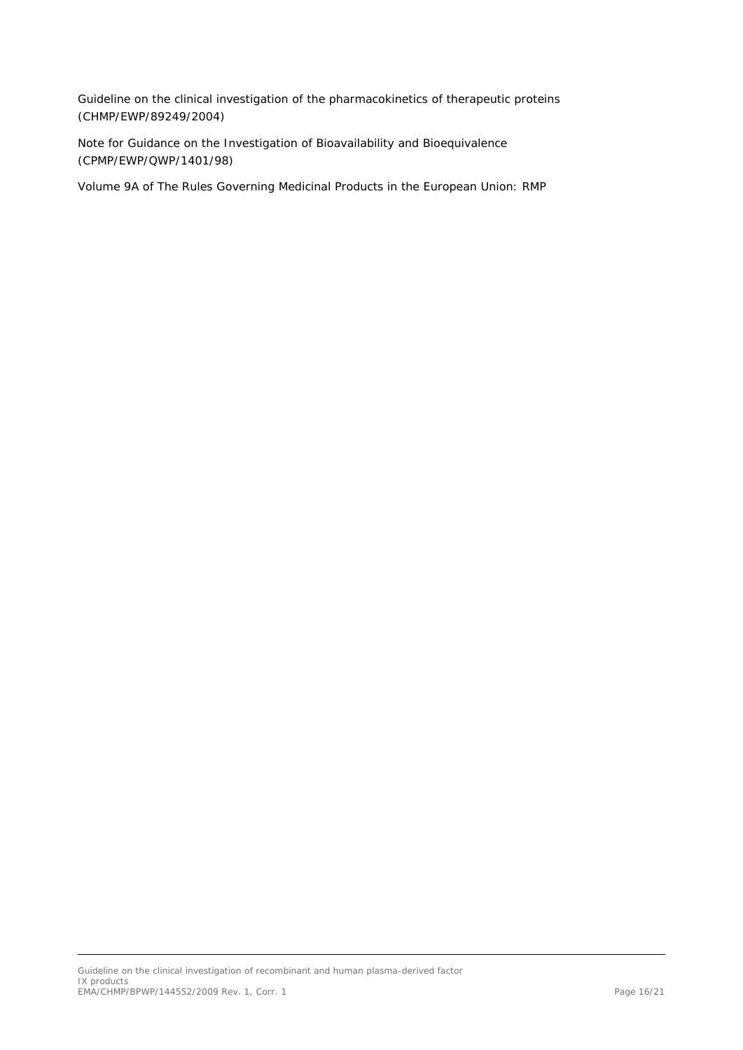Guideline on the clinical investigation of the pharmacokinetics of therapeutic proteins (CHMP/EWP/89249/2004)

Note for Guidance on the Investigation of Bioavailability and Bioequivalence (CPMP/EWP/QWP/1401/98)

Volume 9A of The Rules Governing Medicinal Products in the European Union: RMP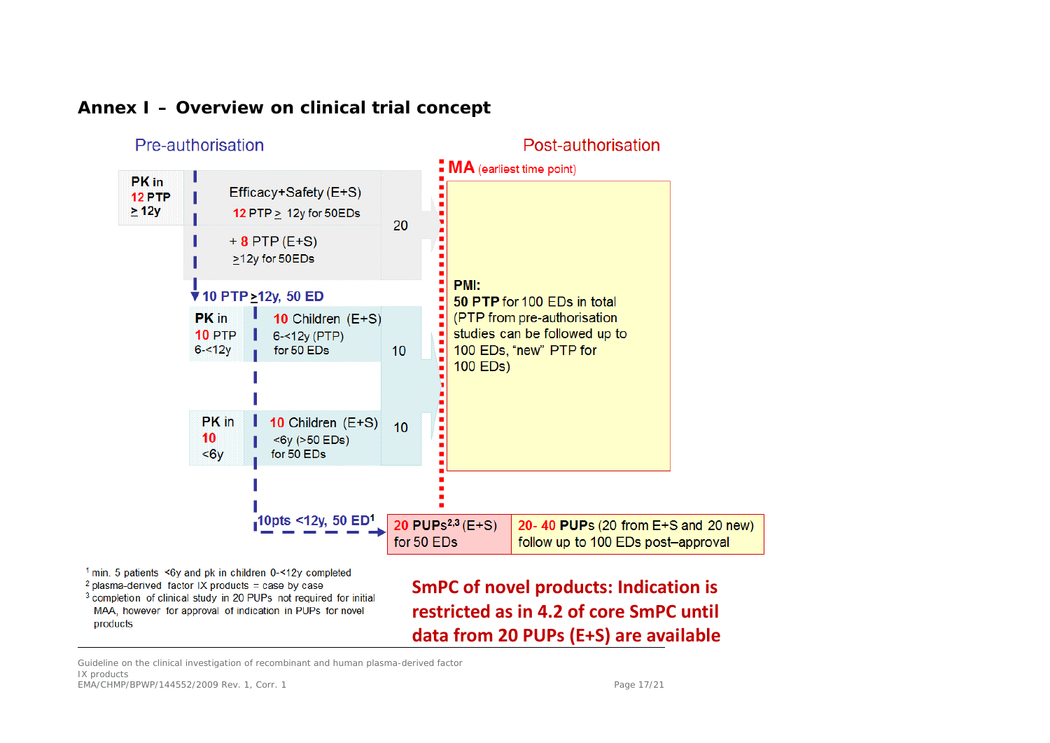

## **Annex I – Overview on clinical trial concept**

<span id="page-16-0"></span><sup>1</sup> min. 5 patients <6y and pk in children 0-<12y completed

 $2$  plasma-derived factor IX products = case by case <sup>3</sup> completion of clinical study in 20 PUPs not required for initial

MAA, however for approval of indication in PUPs for novel products

**SmPC of novel products: Indication is restricted as in 4.2 of core SmPC until data from 20 PUPs (E+S) are available**

Guideline on the clinical investigation of recombinant and human plasma-derived factor IX products EMA/CHMP/BPWP/144552/2009 Rev. 1, Corr. 1 Page 17/21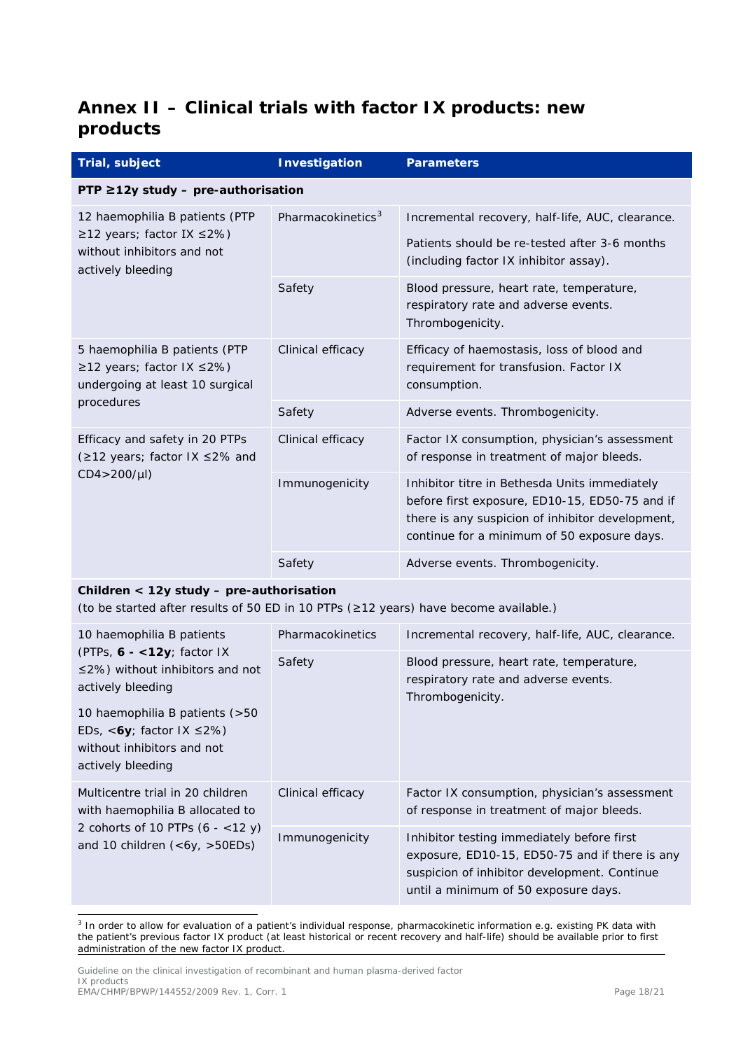## <span id="page-17-0"></span>**Annex II – Clinical trials with factor IX products: new products**

| Trial, subject                                                                                                       | <b>Investigation</b>                     | <b>Parameters</b>                                                                                                                                                                                  |  |  |
|----------------------------------------------------------------------------------------------------------------------|------------------------------------------|----------------------------------------------------------------------------------------------------------------------------------------------------------------------------------------------------|--|--|
|                                                                                                                      | PTP $\geq$ 12y study - pre-authorisation |                                                                                                                                                                                                    |  |  |
| 12 haemophilia B patients (PTP<br>≥12 years; factor IX $\leq$ 2%)<br>without inhibitors and not<br>actively bleeding | Pharmacokinetics <sup>3</sup>            | Incremental recovery, half-life, AUC, clearance.<br>Patients should be re-tested after 3-6 months<br>(including factor IX inhibitor assay).                                                        |  |  |
|                                                                                                                      | Safety                                   | Blood pressure, heart rate, temperature,<br>respiratory rate and adverse events.<br>Thrombogenicity.                                                                                               |  |  |
| 5 haemophilia B patients (PTP<br>≥12 years; factor IX $≤2\%)$<br>undergoing at least 10 surgical<br>procedures       | Clinical efficacy                        | Efficacy of haemostasis, loss of blood and<br>requirement for transfusion. Factor IX<br>consumption.                                                                                               |  |  |
|                                                                                                                      | Safety                                   | Adverse events. Thrombogenicity.                                                                                                                                                                   |  |  |
| Efficacy and safety in 20 PTPs<br>$(212 \text{ years})$ factor IX $\leq$ 2% and<br>$CD4 > 200/ \mu l)$               | Clinical efficacy                        | Factor IX consumption, physician's assessment<br>of response in treatment of major bleeds.                                                                                                         |  |  |
|                                                                                                                      | Immunogenicity                           | Inhibitor titre in Bethesda Units immediately<br>before first exposure, ED10-15, ED50-75 and if<br>there is any suspicion of inhibitor development,<br>continue for a minimum of 50 exposure days. |  |  |
|                                                                                                                      | Safety                                   | Adverse events. Thrombogenicity.                                                                                                                                                                   |  |  |

#### **Children < 12y study – pre-authorisation**

(to be started after results of 50 ED in 10 PTPs (≥12 years) have become available.)

| 10 haemophilia B patients<br>(PTPs, $6 - <12y$ ; factor IX<br>$\leq$ 2%) without inhibitors and not<br>actively bleeding<br>10 haemophilia B patients (>50<br>EDs, $<$ 6y; factor IX $\leq$ 2%)<br>without inhibitors and not<br>actively bleeding | Pharmacokinetics  | Incremental recovery, half-life, AUC, clearance.                                                                                                                                     |  |
|----------------------------------------------------------------------------------------------------------------------------------------------------------------------------------------------------------------------------------------------------|-------------------|--------------------------------------------------------------------------------------------------------------------------------------------------------------------------------------|--|
|                                                                                                                                                                                                                                                    | Safety            | Blood pressure, heart rate, temperature,<br>respiratory rate and adverse events.<br>Thrombogenicity.                                                                                 |  |
| Multicentre trial in 20 children<br>with haemophilia B allocated to<br>2 cohorts of 10 PTPs $(6 - < 12 \text{ y})$<br>and 10 children $(<$ 6y, $>$ 50EDs)                                                                                          | Clinical efficacy | Factor IX consumption, physician's assessment<br>of response in treatment of major bleeds.                                                                                           |  |
|                                                                                                                                                                                                                                                    | Immunogenicity    | Inhibitor testing immediately before first<br>exposure, ED10-15, ED50-75 and if there is any<br>suspicion of inhibitor development. Continue<br>until a minimum of 50 exposure days. |  |

<span id="page-17-1"></span> <sup>3</sup> In order to allow for evaluation of a patient's individual response, pharmacokinetic information e.g. existing PK data with the patient's previous factor IX product (at least historical or recent recovery and half-life) should be available prior to first administration of the new factor IX product.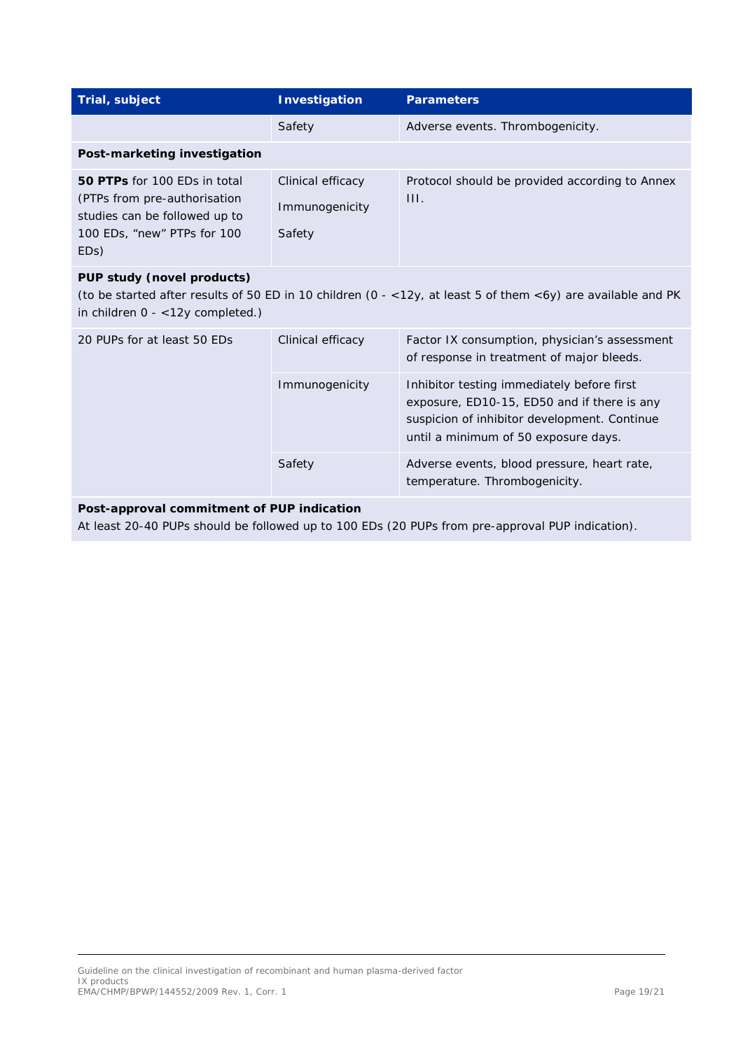| Trial, subject                                                                                                                                                                     | <b>Investigation</b>                          | <b>Parameters</b>                                                                                                                                                                 |  |
|------------------------------------------------------------------------------------------------------------------------------------------------------------------------------------|-----------------------------------------------|-----------------------------------------------------------------------------------------------------------------------------------------------------------------------------------|--|
|                                                                                                                                                                                    | Safety                                        | Adverse events. Thrombogenicity.                                                                                                                                                  |  |
| Post-marketing investigation                                                                                                                                                       |                                               |                                                                                                                                                                                   |  |
| 50 PTPs for 100 EDs in total<br>(PTPs from pre-authorisation<br>studies can be followed up to<br>100 EDs, "new" PTPs for 100<br>ED <sub>s</sub> )                                  | Clinical efficacy<br>Immunogenicity<br>Safety | Protocol should be provided according to Annex<br>111.                                                                                                                            |  |
| PUP study (novel products)<br>(to be started after results of 50 ED in 10 children (0 - < 12y, at least 5 of them < by) are available and PK<br>in children $0 - <12y$ completed.) |                                               |                                                                                                                                                                                   |  |
| 20 PUPs for at least 50 EDs                                                                                                                                                        | Clinical efficacy                             | Factor IX consumption, physician's assessment<br>of response in treatment of major bleeds.                                                                                        |  |
|                                                                                                                                                                                    | Immunogenicity                                | Inhibitor testing immediately before first<br>exposure, ED10-15, ED50 and if there is any<br>suspicion of inhibitor development. Continue<br>until a minimum of 50 exposure days. |  |
|                                                                                                                                                                                    | Safety                                        | Adverse events, blood pressure, heart rate,<br>temperature. Thrombogenicity.                                                                                                      |  |

#### **Post-approval commitment of PUP indication**

At least 20-40 PUPs should be followed up to 100 EDs (20 PUPs from pre-approval PUP indication).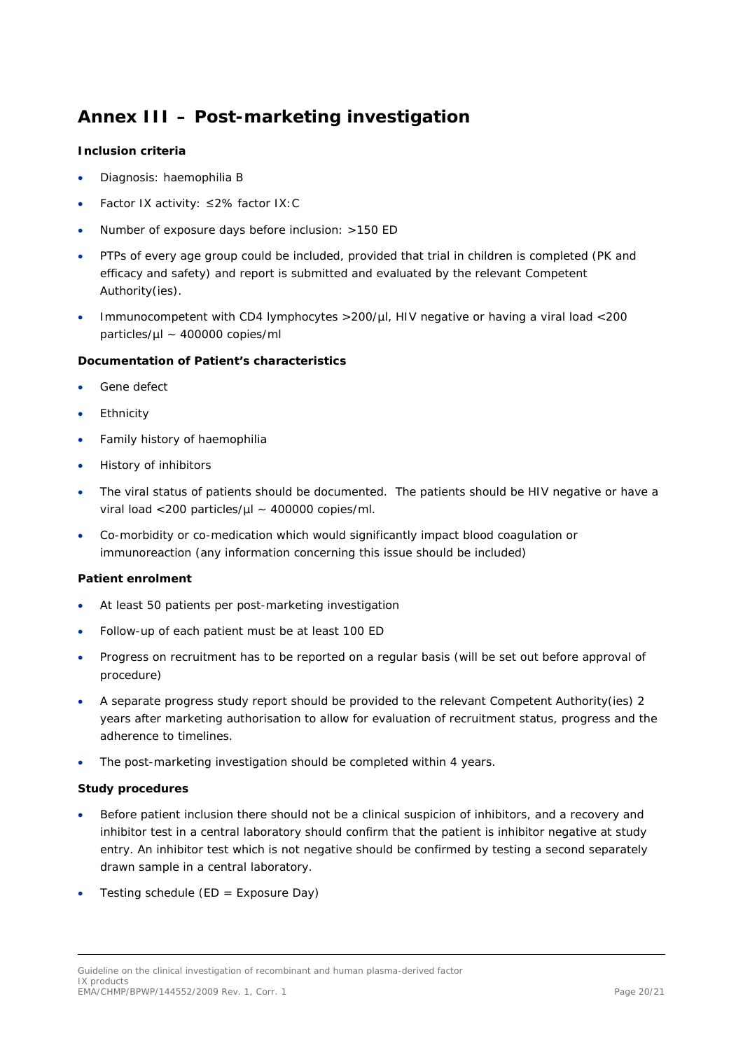## <span id="page-19-0"></span>**Annex III – Post-marketing investigation**

#### **Inclusion criteria**

- Diagnosis: haemophilia B
- Factor IX activity: ≤2% factor IX:C
- Number of exposure days before inclusion: >150 ED
- PTPs of every age group could be included, provided that trial in children is completed (PK and efficacy and safety) and report is submitted and evaluated by the relevant Competent Authority(ies).
- Immunocompetent with CD4 lymphocytes >200/µl, HIV negative or having a viral load <200 particles/µl ~ 400000 copies/ml

#### **Documentation of Patient's characteristics**

- Gene defect
- **Ethnicity**
- Family history of haemophilia
- History of inhibitors
- The viral status of patients should be documented. The patients should be HIV negative or have a viral load <200 particles/µl ~ 400000 copies/ml.
- Co-morbidity or co-medication which would significantly impact blood coagulation or immunoreaction (any information concerning this issue should be included)

#### **Patient enrolment**

- At least 50 patients per post-marketing investigation
- Follow-up of each patient must be at least 100 ED
- Progress on recruitment has to be reported on a regular basis (will be set out before approval of procedure)
- A separate progress study report should be provided to the relevant Competent Authority(ies) 2 years after marketing authorisation to allow for evaluation of recruitment status, progress and the adherence to timelines.
- The post-marketing investigation should be completed within 4 years.

#### **Study procedures**

- Before patient inclusion there should not be a clinical suspicion of inhibitors, and a recovery and inhibitor test in a central laboratory should confirm that the patient is inhibitor negative at study entry. An inhibitor test which is not negative should be confirmed by testing a second separately drawn sample in a central laboratory.
- Testing schedule ( $ED = Exposure Day$ )